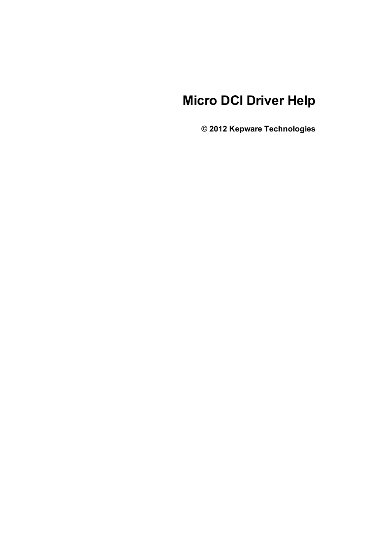# **Micro DCI Driver Help**

**© 2012 Kepware Technologies**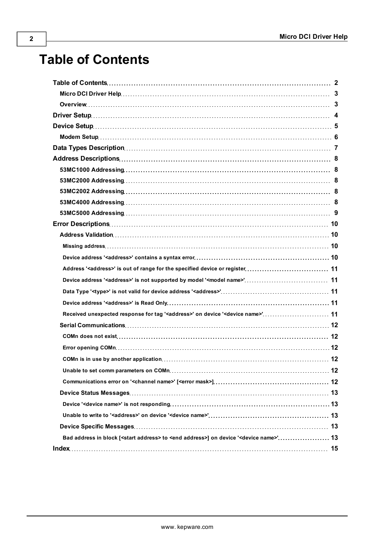# <span id="page-1-0"></span>**Table of Contents**

| Address ' <address>' is out of range for the specified device or register 11</address>                                |  |
|-----------------------------------------------------------------------------------------------------------------------|--|
|                                                                                                                       |  |
|                                                                                                                       |  |
|                                                                                                                       |  |
| Received unexpected response for tag ' <address>' on device '<device name="">' 11</device></address>                  |  |
|                                                                                                                       |  |
|                                                                                                                       |  |
|                                                                                                                       |  |
|                                                                                                                       |  |
|                                                                                                                       |  |
|                                                                                                                       |  |
|                                                                                                                       |  |
|                                                                                                                       |  |
|                                                                                                                       |  |
|                                                                                                                       |  |
| Bad address in block [ <start address=""> to <end address="">] on device '<device name="">' 13</device></end></start> |  |
|                                                                                                                       |  |
|                                                                                                                       |  |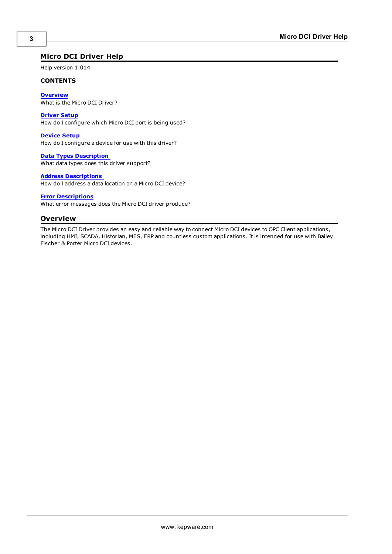## <span id="page-2-0"></span>**Micro DCI Driver Help**

Help version 1.014

#### **CONTENTS**

**[Overview](#page-2-1)** What is the Micro DCI Driver?

#### **[Driver](#page-3-0) [Setup](#page-3-0)**

How do I configure which Micro DCI port is being used?

#### **[Device](#page-4-0) [Setup](#page-4-0)** How do I configure a device for use with this driver?

**[Data](#page-6-0) [Types](#page-6-0) [Description](#page-6-0)** What data types does this driver support?

#### **[Address](#page-7-0) [Descriptions](#page-7-0)**

How do I address a data location on a Micro DCI device?

#### **[Error](#page-9-0) [Descriptions](#page-9-0)**

<span id="page-2-1"></span>What error messages does the Micro DCI driver produce?

### **Overview**

The Micro DCI Driver provides an easy and reliable way to connect Micro DCI devices to OPC Client applications, including HMI, SCADA, Historian, MES, ERP and countless custom applications. It is intended for use with Bailey Fischer & Porter Micro DCI devices.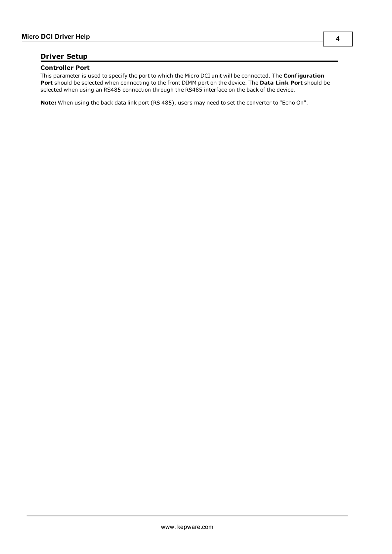# <span id="page-3-0"></span>**Driver Setup**

#### **Controller Port**

This parameter is used to specify the port to which the Micro DCI unit will be connected. The **Configuration Port** should be selected when connecting to the front DIMM port on the device. The **Data Link Port** should be selected when using an RS485 connection through the RS485 interface on the back of the device.

**Note:** When using the back data link port (RS 485), users may need to set the converter to "Echo On".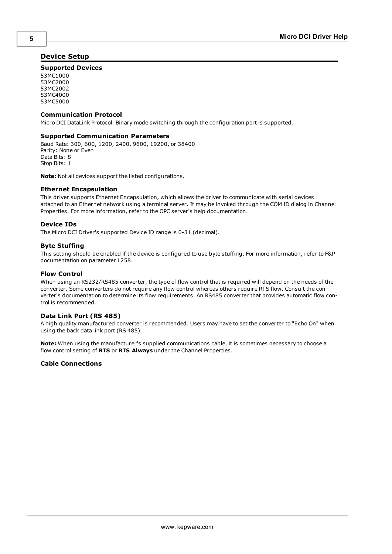## <span id="page-4-0"></span>**Device Setup**

#### **Supported Devices**

53MC1000 53MC2000 53MC2002 53MC4000 53MC5000

#### **Communication Protocol**

Micro DCI DataLink Protocol. Binary mode switching through the configuration port is supported.

#### **Supported Communication Parameters**

Baud Rate: 300, 600, 1200, 2400, 9600, 19200, or 38400 Parity: None or Even Data Bits: 8 Stop Bits: 1

**Note:** Not all devices support the listed configurations.

#### <span id="page-4-2"></span>**Ethernet Encapsulation**

This driver supports Ethernet Encapsulation, which allows the driver to communicate with serial devices attached to an Ethernet network using a terminal server. It may be invoked through the COM ID dialog in Channel Properties. For more information, refer to the OPC server's help documentation.

#### <span id="page-4-1"></span>**Device IDs**

The Micro DCI Driver's supported Device ID range is 0-31 (decimal).

#### **Byte Stuffing**

This setting should be enabled if the device is configured to use byte stuffing. For more information, refer to F&P documentation on parameter L258.

#### **Flow Control**

When using an RS232/RS485 converter, the type of flow control that is required will depend on the needs of the converter. Some converters do not require any flow control whereas others require RTS flow. Consult the converter's documentation to determine its flow requirements. An RS485 converter that provides automatic flow control is recommended.

#### **Data Link Port (RS 485)**

A high quality manufactured converter is recommended. Users may have to set the converter to "Echo On" when using the back data link port (RS 485).

**Note:** When using the manufacturer's supplied communications cable, it is sometimes necessary to choose a flow control setting of **RTS** or **RTS Always** under the Channel Properties.

#### **Cable Connections**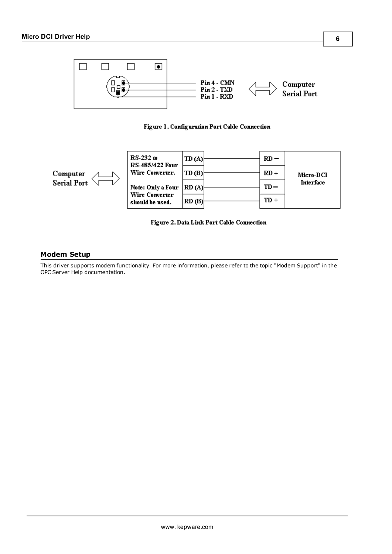

# Figure 1. Configuration Port Cable Connection



### Figure 2. Data Link Port Cable Connection

### <span id="page-5-0"></span>**Modem Setup**

This driver supports modem functionality. For more information, please refer to the topic "Modem Support" in the OPC Server Help documentation.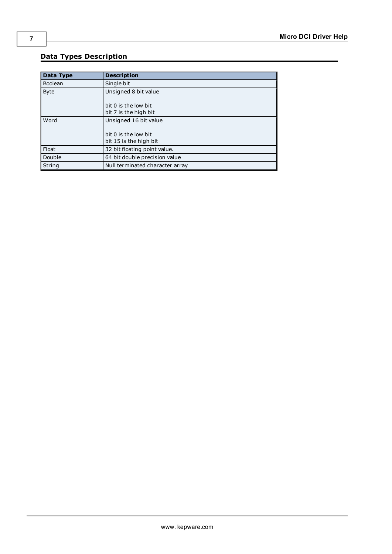# <span id="page-6-0"></span>**Data Types Description**

<span id="page-6-4"></span><span id="page-6-3"></span><span id="page-6-2"></span><span id="page-6-1"></span>

| Data Type      | <b>Description</b>              |
|----------------|---------------------------------|
| <b>Boolean</b> | Single bit                      |
| <b>Byte</b>    | Unsigned 8 bit value            |
|                | bit 0 is the low bit            |
|                | bit 7 is the high bit           |
| Word           | Unsigned 16 bit value           |
|                | bit 0 is the low bit            |
|                | bit 15 is the high bit          |
| Float          | 32 bit floating point value.    |
| Double         | 64 bit double precision value   |
| String         | Null terminated character array |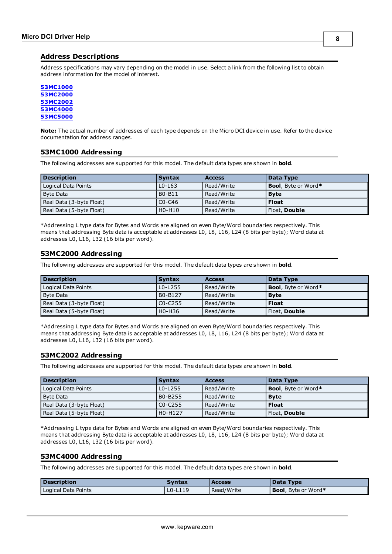#### <span id="page-7-0"></span>**Address Descriptions**

Address specifications may vary depending on the model in use. Select a link from the following list to obtain address information for the model of interest.

#### **[53MC1000](#page-7-1) [53MC2000](#page-7-2) [53MC2002](#page-7-3)**

**[53MC4000](#page-7-4) [53MC5000](#page-8-0)**

**Note:** The actual number of addresses of each type depends on the Micro DCI device in use. Refer to the device documentation for address ranges.

#### <span id="page-7-1"></span>**53MC1000 Addressing**

The following addresses are supported for this model. The default data types are shown in **bold**.

| <b>Description</b>       | <b>Syntax</b> | <b>Access</b> | Data Type                   |
|--------------------------|---------------|---------------|-----------------------------|
| Logical Data Points      | $L0$ - $L63$  | Read/Write    | <b>Bool</b> , Byte or Word* |
| Byte Data                | B0-B11        | Read/Write    | <b>B</b> vte                |
| Real Data (3-byte Float) | $CO - C46$    | Read/Write    | l Float                     |
| Real Data (5-byte Float) | H0-H10        | Read/Write    | l Float, <b>Double</b>      |

\*Addressing L type data for Bytes and Words are aligned on even Byte/Word boundaries respectively. This means that addressing Byte data is acceptable at addresses L0, L8, L16, L24 (8 bits per byte); Word data at addresses L0, L16, L32 (16 bits per word).

### <span id="page-7-2"></span>**53MC2000 Addressing**

The following addresses are supported for this model. The default data types are shown in **bold**.

| <b>Description</b>       | <b>Syntax</b> | <b>Access</b> | Data Type                   |
|--------------------------|---------------|---------------|-----------------------------|
| Logical Data Points      | $L0-L255$     | Read/Write    | <b>Bool</b> , Byte or Word* |
| Byte Data                | B0-B127       | Read/Write    | Byte                        |
| Real Data (3-byte Float) | $CO-C255$     | Read/Write    | l Float                     |
| Real Data (5-byte Float) | H0-H36        | Read/Write    | Float, Double               |

\*Addressing L type data for Bytes and Words are aligned on even Byte/Word boundaries respectively. This means that addressing Byte data is acceptable at addresses L0, L8, L16, L24 (8 bits per byte); Word data at addresses L0, L16, L32 (16 bits per word).

### <span id="page-7-3"></span>**53MC2002 Addressing**

The following addresses are supported for this model. The default data types are shown in **bold**.

| <b>Description</b>       | <b>Syntax</b> | <b>Access</b> | Data Type                   |
|--------------------------|---------------|---------------|-----------------------------|
| Logical Data Points      | $LO-L255$     | Read/Write    | <b>Bool</b> , Byte or Word* |
| <b>Byte Data</b>         | B0-B255       | Read/Write    | Byte                        |
| Real Data (3-byte Float) | $CO-C255$     | Read/Write    | l Float                     |
| Real Data (5-byte Float) | H0-H127       | Read/Write    | Float, Double               |

\*Addressing L type data for Bytes and Words are aligned on even Byte/Word boundaries respectively. This means that addressing Byte data is acceptable at addresses L0, L8, L16, L24 (8 bits per byte); Word data at addresses L0, L16, L32 (16 bits per word).

#### <span id="page-7-4"></span>**53MC4000 Addressing**

The following addresses are supported for this model. The default data types are shown in **bold**.

| <b>Description</b>  | Svntax  | <b>Access</b> | Data Type                   |
|---------------------|---------|---------------|-----------------------------|
| Logical Data Points | LO-L119 | Read/Write    | <b>Bool</b> , Byte or Word* |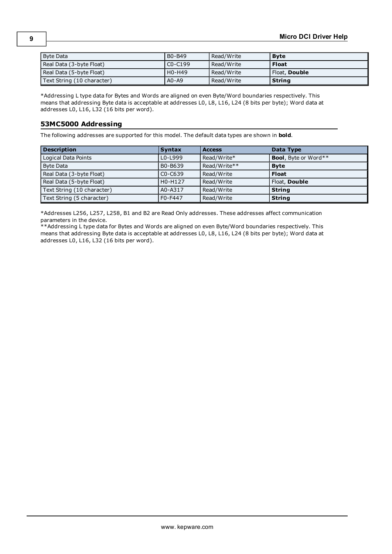| Byte Data                  | B0-B49                          | Read/Write | <b>Byte</b>          |
|----------------------------|---------------------------------|------------|----------------------|
| Real Data (3-byte Float)   | $CO-C199$                       | Read/Write | <b>Float</b>         |
| Real Data (5-byte Float)   | H <sub>0</sub> -H <sub>49</sub> | Read/Write | Float, <b>Double</b> |
| Text String (10 character) | $AO-AO$                         | Read/Write | <b>String</b>        |

\*Addressing L type data for Bytes and Words are aligned on even Byte/Word boundaries respectively. This means that addressing Byte data is acceptable at addresses L0, L8, L16, L24 (8 bits per byte); Word data at addresses L0, L16, L32 (16 bits per word).

### <span id="page-8-0"></span>**53MC5000 Addressing**

The following addresses are supported for this model. The default data types are shown in **bold**.

| <b>Description</b>         | <b>Syntax</b> | <b>Access</b> | Data Type                    |
|----------------------------|---------------|---------------|------------------------------|
| Logical Data Points        | $L0 - L999$   | Read/Write*   | <b>Bool</b> , Byte or Word** |
| Byte Data                  | B0-B639       | Read/Write**  | <b>Byte</b>                  |
| Real Data (3-byte Float)   | $CO - C639$   | Read/Write    | <b>Float</b>                 |
| Real Data (5-byte Float)   | H0-H127       | Read/Write    | Float, Double                |
| Text String (10 character) | A0-A317       | Read/Write    | <b>String</b>                |
| Text String (5 character)  | F0-F447       | Read/Write    | <b>String</b>                |

\*Addresses L256, L257, L258, B1 and B2 are Read Only addresses. These addresses affect communication parameters in the device.

\*\*Addressing L type data for Bytes and Words are aligned on even Byte/Word boundaries respectively. This means that addressing Byte data is acceptable at addresses L0, L8, L16, L24 (8 bits per byte); Word data at addresses L0, L16, L32 (16 bits per word).

**9**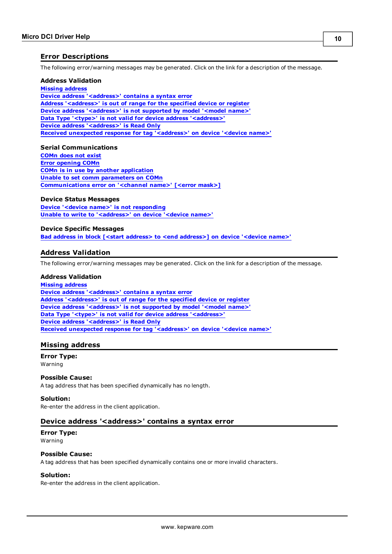#### <span id="page-9-0"></span>**Error Descriptions**

The following error/warning messages may be generated. Click on the link for a description of the message.

#### **Address Validation**

**[Missing](#page-9-2) [address](#page-9-2) [Device](#page-9-3) [address](#page-9-3) ['<address>'](#page-9-3) [contains](#page-9-3) [a](#page-9-3) [syntax](#page-9-3) [error](#page-9-3) [Address](#page-10-0) ['<address>'](#page-10-0) [is](#page-10-0) [out](#page-10-0) [of](#page-10-0) [range](#page-10-0) [for](#page-10-0) [the](#page-10-0) [specified](#page-10-0) [device](#page-10-0) [or](#page-10-0) [register](#page-10-0) [Device](#page-10-1) [address](#page-10-1) ['<address>'](#page-10-1)** [is](#page-10-1) [not](#page-10-1) [supported](#page-10-1) [by](#page-10-1) [model](#page-10-1) ['<model](#page-10-1) [name>'](#page-10-1) **[Data](#page-10-2) [Type](#page-10-2) ['<type>'](#page-10-2) [is](#page-10-2) [not](#page-10-2) [valid](#page-10-2) [for](#page-10-2) [device](#page-10-2) [address](#page-10-2) ['<address>'](#page-10-2) [Device](#page-10-3) [address](#page-10-3) ['<address>'](#page-10-3) [is](#page-10-3) [Read](#page-10-3) [Only](#page-10-3) [Received](#page-10-4) [unexpected](#page-10-4) [response](#page-10-4) [for](#page-10-4) [tag](#page-10-4) ['<address>'](#page-10-4) [on](#page-10-4) [device](#page-10-4) ['<device](#page-10-4) [name>'](#page-10-4)**

#### **Serial Communications**

**[COMn](#page-11-1) [does](#page-11-1) [not](#page-11-1) [exist](#page-11-1) [Error](#page-11-2) [opening](#page-11-2) [COMn](#page-11-2) [COMn](#page-11-3) [is](#page-11-3) [in](#page-11-3) [use](#page-11-3) [by](#page-11-3) [another](#page-11-3) [application](#page-11-3) [Unable](#page-11-4) [to](#page-11-4) [set](#page-11-4) [comm](#page-11-4) [parameters](#page-11-4) [on](#page-11-4) [COMn](#page-11-4) [Communications](#page-11-5) [error](#page-11-5) [on](#page-11-5) ['<channel](#page-11-5) [name>'](#page-11-5) [\[<error](#page-11-5) [mask>\]](#page-11-5)**

#### **Device Status Messages**

**[Device](#page-12-1) ['<device](#page-12-1) [name>'](#page-12-1) [is](#page-12-1) [not](#page-12-1) [responding](#page-12-1) [Unable](#page-12-2) [to](#page-12-2) [write](#page-12-2) [to](#page-12-2) ['<address>'](#page-12-2) [on](#page-12-2) [device](#page-12-2) ['<device](#page-12-2) [name>'](#page-12-2)**

#### **Device Specific Messages**

<span id="page-9-1"></span>**[Bad](#page-12-4) [address](#page-12-4) [in](#page-12-4) [block](#page-12-4) [\[<start](#page-12-4) [address>](#page-12-4) [to](#page-12-4) [<end](#page-12-4) [address>\]](#page-12-4) [on](#page-12-4) [device](#page-12-4) ['<device](#page-12-4) [name>'](#page-12-4)**

#### **Address Validation**

The following error/warning messages may be generated. Click on the link for a description of the message.

#### **Address Validation**

**[Missing](#page-9-2) [address](#page-9-2) [Device](#page-9-3) [address](#page-9-3) ['<address>'](#page-9-3) [contains](#page-9-3) [a](#page-9-3) [syntax](#page-9-3) [error](#page-9-3) [Address](#page-10-0) ['<address>'](#page-10-0) [is](#page-10-0) [out](#page-10-0) [of](#page-10-0) [range](#page-10-0) [for](#page-10-0) [the](#page-10-0) [specified](#page-10-0) [device](#page-10-0) [or](#page-10-0) [register](#page-10-0) [Device](#page-10-1) [address](#page-10-1) ['<address>'](#page-10-1) [is](#page-10-1) [not](#page-10-1) [supported](#page-10-1) [by](#page-10-1) [model](#page-10-1) ['<model](#page-10-1) [name>'](#page-10-1) [Data](#page-10-2) [Type](#page-10-2) ['<type>'](#page-10-2) [is](#page-10-2) [not](#page-10-2) [valid](#page-10-2) [for](#page-10-2) [device](#page-10-2) [address](#page-10-2) ['<address>'](#page-10-2) [Device](#page-10-3) [address](#page-10-3) ['<address>'](#page-10-3) [is](#page-10-3) [Read](#page-10-3) [Only](#page-10-3) [Received](#page-10-4) [unexpected](#page-10-4) [response](#page-10-4) [for](#page-10-4) [tag](#page-10-4) ['<address>'](#page-10-4) [on](#page-10-4) [device](#page-10-4) ['<device](#page-10-4) [name>'](#page-10-4)**

#### <span id="page-9-2"></span>**Missing address**

**Error Type:** Warning

#### **Possible Cause:**

A tag address that has been specified dynamically has no length.

#### **Solution:**

<span id="page-9-3"></span>Re-enter the address in the client application.

#### Device address '<address>' contains a syntax error

#### **Error Type:** Warning

### **Possible Cause:**

A tag address that has been specified dynamically contains one or more invalid characters.

### **Solution:**

Re-enter the address in the client application.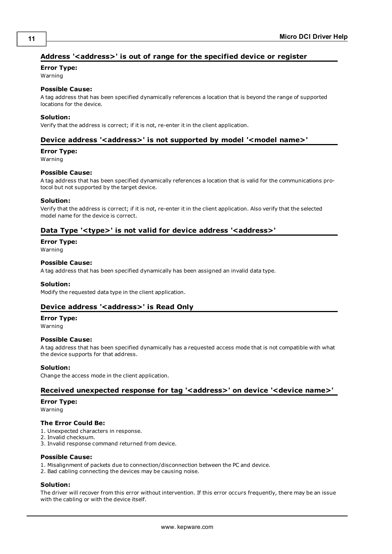# <span id="page-10-0"></span>**Address '<address>' is out of range for the specified device or register**

### **Error Type:**

Warning

## **Possible Cause:**

A tag address that has been specified dynamically references a location that is beyond the range of supported locations for the device.

#### **Solution:**

<span id="page-10-1"></span>Verify that the address is correct; if it is not, re-enter it in the client application.

### Device address '<address>' is not supported by model '<model name>'

#### **Error Type:**

Warning

#### **Possible Cause:**

A tag address that has been specified dynamically references a location that is valid for the communications protocol but not supported by the target device.

#### **Solution:**

Verify that the address is correct; if it is not, re-enter it in the client application. Also verify that the selected model name for the device is correct.

### <span id="page-10-2"></span>Data Type '<type>' is not valid for device address '<address>'

# **Error Type:**

Warning

#### **Possible Cause:**

A tag address that has been specified dynamically has been assigned an invalid data type.

#### **Solution:**

<span id="page-10-3"></span>Modify the requested data type in the client application.

### Device address '<address>' is Read Only

#### **Error Type:**

Warning

#### **Possible Cause:**

A tag address that has been specified dynamically has a requested access mode that is not compatible with what the device supports for that address.

#### **Solution:**

<span id="page-10-4"></span>Change the access mode in the client application.

#### Received unexpected response for tag '<address>' on device '<device name>'

#### **Error Type:**

Warning

#### **The Error Could Be:**

- 1. Unexpected characters in response.
- 2. Invalid checksum.
- 3. Invalid response command returned from device.

#### **Possible Cause:**

- 1. Misalignment of packets due to connection/disconnection between the PC and device.
- 2. Bad cabling connecting the devices may be causing noise.

#### **Solution:**

The driver will recover from this error without intervention. If this error occurs frequently, there may be an issue with the cabling or with the device itself.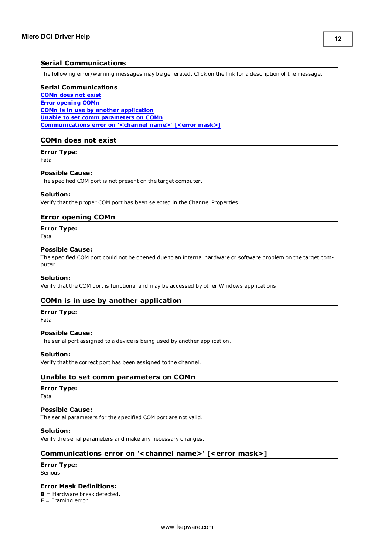# <span id="page-11-0"></span>**Serial Communications**

The following error/warning messages may be generated. Click on the link for a description of the message.

#### **Serial Communications**

**[COMn](#page-11-1) [does](#page-11-1) [not](#page-11-1) [exist](#page-11-1) [Error](#page-11-2) [opening](#page-11-2) [COMn](#page-11-2) [COMn](#page-11-3) [is](#page-11-3) [in](#page-11-3) [use](#page-11-3) [by](#page-11-3) [another](#page-11-3) [application](#page-11-3) [Unable](#page-11-4) [to](#page-11-4) [set](#page-11-4) [comm](#page-11-4) [parameters](#page-11-4) [on](#page-11-4) [COMn](#page-11-4) [Communications](#page-11-5) [error](#page-11-5) [on](#page-11-5) ['<channel](#page-11-5) [name>'](#page-11-5) [\[<error](#page-11-5) [mask>\]](#page-11-5)**

### <span id="page-11-1"></span>**COMn does not exist**

**Error Type:** Fatal

#### **Possible Cause:**

The specified COM port is not present on the target computer.

#### **Solution:**

<span id="page-11-2"></span>Verify that the proper COM port has been selected in the Channel Properties.

#### **Error opening COMn**

**Error Type:**

Fatal

#### **Possible Cause:**

The specified COM port could not be opened due to an internal hardware or software problem on the target computer.

#### **Solution:**

<span id="page-11-3"></span>Verify that the COM port is functional and may be accessed by other Windows applications.

#### **COMn is in use by another application**

**Error Type:**

# Fatal

## **Possible Cause:**

The serial port assigned to a device is being used by another application.

#### **Solution:**

<span id="page-11-4"></span>Verify that the correct port has been assigned to the channel.

#### **Unable to set comm parameters on COMn**

# **Error Type:**

Fatal

#### **Possible Cause:**

The serial parameters for the specified COM port are not valid.

### **Solution:**

<span id="page-11-5"></span>Verify the serial parameters and make any necessary changes.

#### **Communications error on '<channel name>' [<error mask>]**

#### **Error Type:**

Serious

#### **Error Mask Definitions:**

<span id="page-11-6"></span>**B** = Hardware break detected.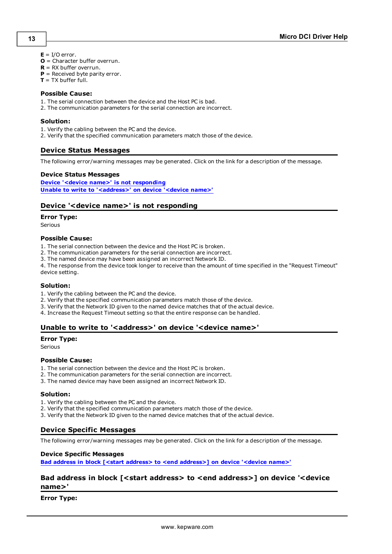- <span id="page-12-5"></span> $E = I/O$  error.
- **O** = Character buffer overrun.
- <span id="page-12-6"></span>**R** = RX buffer overrun.
- **P** = Received byte parity error.
- **T** = TX buffer full.

#### **Possible Cause:**

- 1. The serial connection between the device and the Host PC is bad.
- 2. The communication parameters for the serial connection are incorrect.

#### **Solution:**

- 1. Verify the cabling between the PC and the device.
- <span id="page-12-0"></span>2. Verify that the specified communication parameters match those of the device.

### **Device Status Messages**

The following error/warning messages may be generated. Click on the link for a description of the message.

#### **Device Status Messages**

**[Device](#page-12-1) ['<device](#page-12-1) [name>'](#page-12-1) [is](#page-12-1) [not](#page-12-1) [responding](#page-12-1) [Unable](#page-12-2) [to](#page-12-2) [write](#page-12-2) [to](#page-12-2) ['<address>'](#page-12-2) [on](#page-12-2) [device](#page-12-2) ['<device](#page-12-2) [name>'](#page-12-2)**

### <span id="page-12-1"></span>**Device '<device name>' is not responding**

#### **Error Type:**

Serious

#### **Possible Cause:**

- 1. The serial connection between the device and the Host PC is broken.
- 2. The communication parameters for the serial connection are incorrect.
- 3. The named device may have been assigned an incorrect Network ID.

4. The response from the device took longer to receive than the amount of time specified in the "Request Timeout" device setting.

#### **Solution:**

- 1. Verify the cabling between the PC and the device.
- 2. Verify that the specified communication parameters match those of the device.
- 3. Verify that the Network ID given to the named device matches that of the actual device.
- <span id="page-12-2"></span>4. Increase the Request Timeout setting so that the entire response can be handled.

#### Unable to write to '<address>' on device '<device name>'

#### **Error Type:**

Serious

#### **Possible Cause:**

- 1. The serial connection between the device and the Host PC is broken.
- 2. The communication parameters for the serial connection are incorrect.
- 3. The named device may have been assigned an incorrect Network ID.

#### **Solution:**

- 1. Verify the cabling between the PC and the device.
- 2. Verify that the specified communication parameters match those of the device.
- <span id="page-12-3"></span>3. Verify that the Network ID given to the named device matches that of the actual device.

# **Device Specific Messages**

The following error/warning messages may be generated. Click on the link for a description of the message.

### **Device Specific Messages**

<span id="page-12-4"></span>**[Bad](#page-12-4) [address](#page-12-4) [in](#page-12-4) [block](#page-12-4) [\[<start](#page-12-4) [address>](#page-12-4) [to](#page-12-4) [<end](#page-12-4) [address>\]](#page-12-4) [on](#page-12-4) [device](#page-12-4) ['<device](#page-12-4) [name>'](#page-12-4)**

# **Bad address in block [<start address> to <end address>] on device '<device name>'**

#### **Error Type:**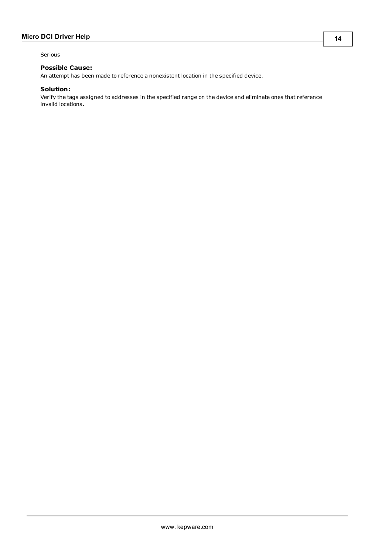Serious

### **Possible Cause:**

An attempt has been made to reference a nonexistent location in the specified device.

### **Solution:**

Verify the tags assigned to addresses in the specified range on the device and eliminate ones that reference invalid locations.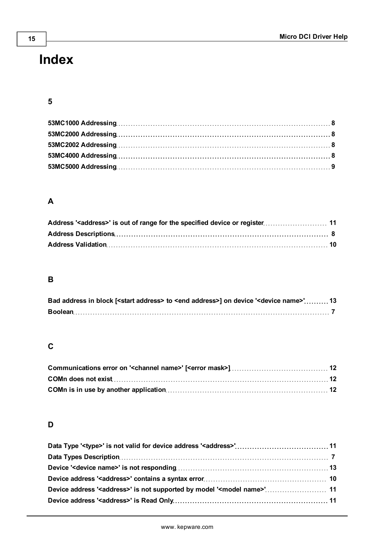# <span id="page-14-0"></span>**Index**

# **5**

# **A**

# **B**

| Bad address in block [ <start address=""> to <end address="">] on device '<device name="">' 13</device></end></start> |  |
|-----------------------------------------------------------------------------------------------------------------------|--|
|                                                                                                                       |  |

# **C**

# **D**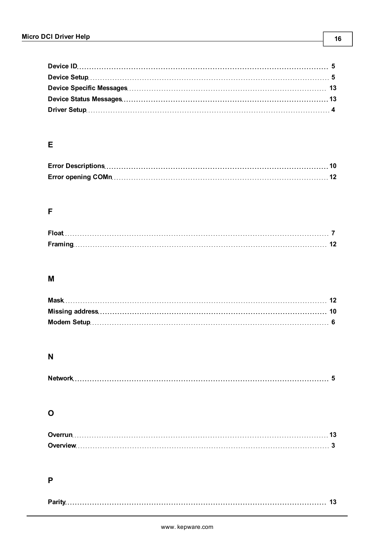# **E**

# **F**

# **M**

# **N**

# **O**

# **P**

|--|